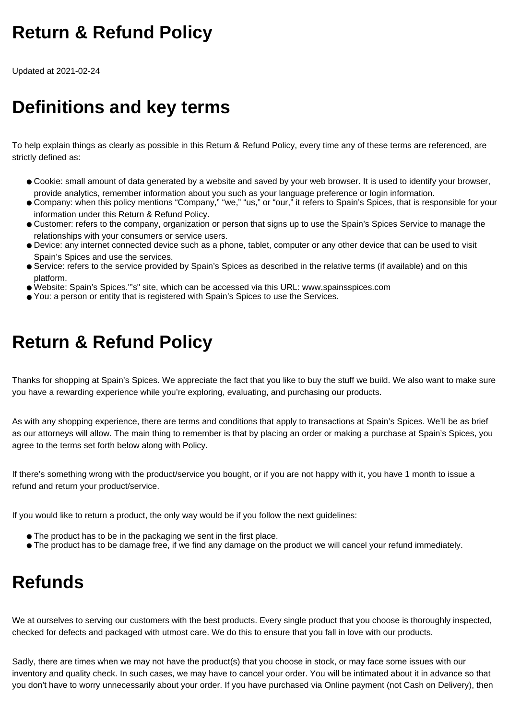## **Return & Refund Policy**

Updated at 2021-02-24

## **Definitions and key terms**

To help explain things as clearly as possible in this Return & Refund Policy, every time any of these terms are referenced, are strictly defined as:

- Cookie: small amount of data generated by a website and saved by your web browser. It is used to identify your browser, provide analytics, remember information about you such as your language preference or login information.
- Company: when this policy mentions "Company," "we," "us," or "our," it refers to Spain's Spices, that is responsible for your information under this Return & Refund Policy.
- Customer: refers to the company, organization or person that signs up to use the Spain's Spices Service to manage the relationships with your consumers or service users.
- Device: any internet connected device such as a phone, tablet, computer or any other device that can be used to visit Spain's Spices and use the services.
- Service: refers to the service provided by Spain's Spices as described in the relative terms (if available) and on this platform.
- Website: Spain's Spices."'s" site, which can be accessed via this URL: www.spainsspices.com
- You: a person or entity that is registered with Spain's Spices to use the Services.

## **Return & Refund Policy**

Thanks for shopping at Spain's Spices. We appreciate the fact that you like to buy the stuff we build. We also want to make sure you have a rewarding experience while you're exploring, evaluating, and purchasing our products.

As with any shopping experience, there are terms and conditions that apply to transactions at Spain's Spices. We'll be as brief as our attorneys will allow. The main thing to remember is that by placing an order or making a purchase at Spain's Spices, you agree to the terms set forth below along with Policy.

If there's something wrong with the product/service you bought, or if you are not happy with it, you have 1 month to issue a refund and return your product/service.

If you would like to return a product, the only way would be if you follow the next guidelines:

- The product has to be in the packaging we sent in the first place.
- The product has to be damage free, if we find any damage on the product we will cancel your refund immediately.

## **Refunds**

We at ourselves to serving our customers with the best products. Every single product that you choose is thoroughly inspected, checked for defects and packaged with utmost care. We do this to ensure that you fall in love with our products.

Sadly, there are times when we may not have the product(s) that you choose in stock, or may face some issues with our inventory and quality check. In such cases, we may have to cancel your order. You will be intimated about it in advance so that you don't have to worry unnecessarily about your order. If you have purchased via Online payment (not Cash on Delivery), then